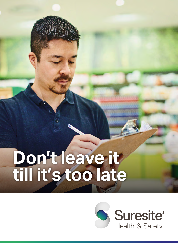# **Don't leave it till it's too late**

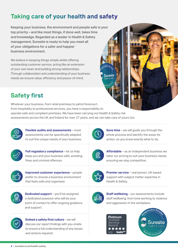## **Taking care of your health and safety**

Keeping your business, the environment and people safe is your top priority – and like most things, if done well, takes time and knowledge. Regarded as a leader in Health & Safety management, Suresite is ready to help you meet all of your obligations for a safer and happier business environment.

We believe in keeping things simple whilst offering outstanding customer service, acting like an extension of your own team and building strong relationships. Through collaboration and understanding of your business needs we ensure value, efficiency and peace-of-mind.

## **Safety first**

Whatever your business, from retail premises to petrol forecourt, from hospitality to professional services, you have a responsibility to operate safe and compliant premises. We have been carrying out Health & Safety risk assessments across the UK and Ireland for over 27 years, and we can take care of yours too:



**Flexible audits and assessments** – most assessments can be specifically adapted to suit the unique needs of your business.



**Full regulatory compliance** – let us help keep you and your business safe, avoiding fines and criminal offences.



**Improved customer experience** – people prefer to choose a business environment that feels safe and organised.



**Dedicated support** – you'll be assigned a dedicated assessor who will be your point of contact to offer ongoing guidance and support.



**Embed a safety-first culture** – we will discuss our report findings with you onsite to ensure a full understanding of any issues and actions required.



Suresite

**Save time** – we will quide you through the whole process and identify the areas for action, so you know exactly what to do.



**Affordable** – as an independent business we tailor our pricing to suit your business needs, ensuring we stay competitive.



**Premier service** – real person, UK based support with subject matter expertise in Health & Safety.



**Staff wellbeing** – our assessments include staff wellbeing, from lone working to violence and aggression in the workplace.